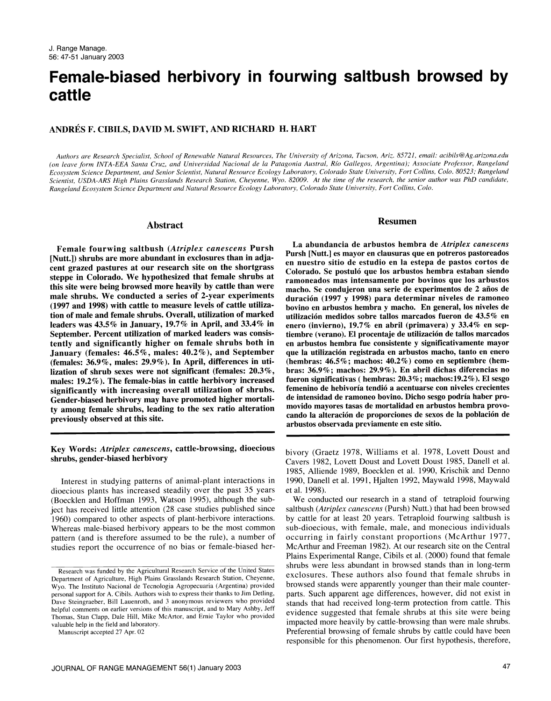# Female-biased herbivory in fourwing saltbush browsed by cattle

## ANDRES F. CIBILS, DAVID M. SWIFT, AND RICHARD H. HART

Authors are Research Specialist, School of Renewable Natural Resources, The University of Arizona, Tucson, Ariz. 85721, email: acibils@Ag.arizona.edu (on leave form INTA-EEA Santa Cruz, and Universidad Nacional de la Patagonia Austral, Rio Gallegos, Argentina); Associate Professor, Rangeland Ecosystem Science Department, and Senior Scientist, Natural Resource Ecology Laboratory, Colorado State University, Fort Collins, Colo. 80523; Rangeland Scientist, USDA-ARS High Plains Grasslands Research Station, Cheyenne, Wyo. 82009. At the time of the research, the senior author was PhD candidate, Rangeland Ecosystem Science Department and Natural Resource Ecology Laboratory, Colorado State University, Fort Collins, Colo.

#### Abstract

Female fourwing saltbush (Atriplex canescens Pursh [Nutt.]) shrubs are more abundant in exclosures than in adjacent grazed pastures at our research site on the shortgrass steppe in Colorado. We hypothesized that female shrubs at this site were being browsed more heavily by cattle than were male shrubs. We conducted a series of 2-year experiments (1997 and 1998) with cattle to measure levels of cattle utilization of male and female shrubs. Overall, utilization of marked leaders was 43.5% in January, 19.7 % in April, and 33.4% in September. Percent utilization of marked leaders was consistently and significantly higher on female shrubs both in en arbustos hembra fue consistente y significativamente mayor<br>January (females: 46.5%, males: 40.2%), and September que la utilización registrada en arbustos macho, January (females: 46.5%, males: 40.2%), and September (females: 36.9%, males: 29.9%). In April, differences in utilization of shrub sexes were not significant (females: 20.3%, bras: 36.9%; machos: 29.9%). En abril dichas diferencias no males: 19.2%). The female-bias in cattle herbivory increased significantly with increasing overall utilization of shrubs. Gender-biased herbivory may have promoted higher mortality among female shrubs, leading to the sex ratio alteration previously observed at this site.

### Key Words: Atriplex canescens, cattle-browsing, dioecious shrubs, gender-biased herbivory

Interest in studying patterns of animal-plant interactions in dioecious plants has increased steadily over the past 35 years (Boecklen and Hoffman 1993, Watson 1995), although the subject has received little attention (28 case studies published since 1960) compared to other aspects of plant-herbivore interactions. Whereas male-biased herbivory appears to be the most common pattern (and is therefore assumed to be the rule), a number of studies report the occurrence of no bias or female-biased her-

Manuscript accepted 27 Apr. 02

#### Resumen

La abundancia de arbustos hembra de Atriplex canescens Pursh [Nutt.] es mayor en clausuras que en potreros pastoreados en nuestro sitio de estudio en la estepa de pastos cortos de Colorado. Se postuló que los arbustos hembra estaban siendo ramoneados mas intensamente por bovinos que los arbustos macho. Se condujeron una serie de experimentos de 2 años de duracion (1997 y 1998) para determinar niveles de ramoneo bovino en arbustos hembra y macho. En general, los niveles de utilizacion medidos sobre tallos marcados fueron de 43.5% en enero (invierno), 19.7% en abril (primavera) y 33.4% en septiembre (verano). El procentaje de utilizacion de tallos marcados en arbustos hembra fue consistente y significativamente mayor (hembras:  $46.5\%$ ; machos:  $40.2\%$ ) como en septiembre (hemfueron significativas ( hembras:  $20.3\%$ ; machos:19.2%). El sesgo femenino de hebivoría tendió a acentuarse con niveles crecientes de intensidad de ramoneo bovino. Dicho sesgo podria haber promovido mayores tasas de mortalidad en arbustos hembra provocando la alteracion de proporciones de sexos de la poblacion de arbustos observada previamente en este sitio.

bivory (Graetz 1978, Williams et al. 1978, Lovett Doust and Cavers 1982, Lovett Doust and Lovett Doust 1985, Danell et al. 1985, Alliende 1989, Boecklen et al. 1990, Krischik and Denno 1990, Danell et al. 1991, Hjalten 1992, Maywald 1998, Maywald et a1.1998).

We conducted our research in a stand of tetraploid fourwing saltbush (Atriplex canescens (Pursh) Nutt.) that had been browsed by cattle for at least 20 years. Tetraploid fourwing saltbush is sub-dioecious, with female, male, and monecious individuals occurring in fairly constant proportions (McArthur 1977, McArthur and Freeman 1982). At our research site on the Central Plains Experimental Range, Cibils et al. (2000) found that female shrubs were less abundant in browsed stands than in long-term exclosures. These authors also found that female shrubs in browsed stands were apparently younger than their male counterparts. Such apparent age differences, however, did not exist in stands that had received long-term protection from cattle. This evidence suggested that female shrubs at this site were being impacted more heavily by cattle-browsing than were male shrubs. Preferential browsing of female shrubs by cattle could have been responsible for this phenomenon. Our first hypothesis, therefore,

Research was funded by the Agricultural Research Service of the United States Department of Agriculture, High Plains Grasslands Research Station, Cheyenne, Wyo. The Instituto Nacional de Tecnologia Agropecuaria (Argentina) provided personal support for A. Cibils. Authors wish to express their thanks to Jim Detling, Dave Steingraeber, Bill Lauenroth, and 3 anonymous reviewers who provided helpful comments on earlier versions of this manuscript, and to Mary Ashby, Jeff Thomas, Stan Clapp, Dale Hill, Mike McArtor, and Ernie Taylor who provided valuable help in the field and laboratory.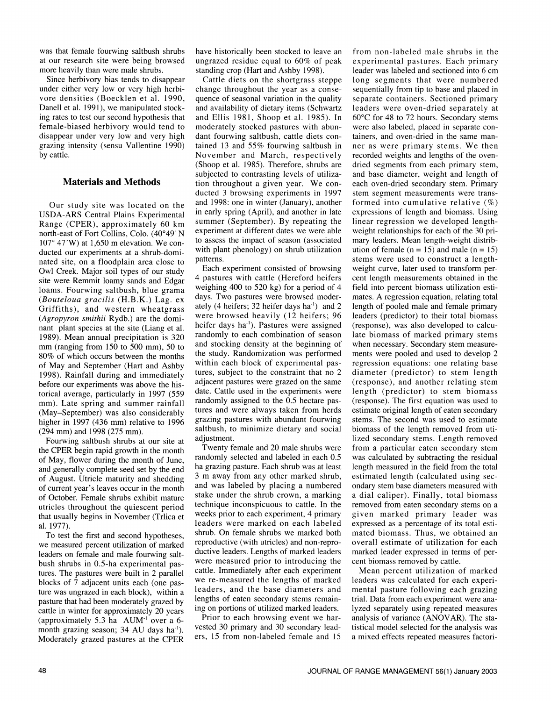was that female fourwing saltbush shrubs at our research site were being browsed more heavily than were male shrubs.

Since herbivory bias tends to disappear under either very low or very high herbivore densities (Boecklen et al. 1990, Danell et al. 1991), we manipulated stocking rates to test our second hypothesis that female-biased herbivory would tend to disappear under very low and very high grazing intensity (sensu Vallentine 1990) by cattle.

## Materials and Methods

Our study site was located on the USDA-ARS Central Plains Experimental Range (CPER), approximately 60 km north-east of Fort Collins, Colo. (40°49' N<br>107° 47′W) at 1,650 m elevation. We conducted our experiments at a shrub-dominated site, on a floodplain area close to Owl Creek. Major soil types of our study site were Remmit loamy sands and Edgar loams. Fourwing saltbush, blue grama (Bouteloua gracilis (H.B.K.) Lag. ex Griffiths), and western wheatgrass (Agropyron smithii Rydb.) are the dominant plant species at the site (Liang et al. contained name). Pastures were assigned 1989). Mean annual precipitation is 320 randomly to each combination of season mm (ranging from  $150$  to  $500$  mm),  $50$  to 80% of which occurs between the months of May and September (Hart and Ashby 1998). Rainfall during and immediately tures, subject to the constraint that no 2<br>hefore our experiments was above the bis adjacent pastures were grazed on the same before our experiments was above the historical average, particularly in 1997 (559 date. Cattle used in the experiments were mm). Late spring and summer rainfall (May-September) was also considerably higher in 1997 (436 mm) relative to 1996 (294 mm) and 1998 (275 mm).

Fourwing saltbush shrubs at our site at adjustment.<br>Twenty female and 20 male shrubs were the CPER begin rapid growth in the month of May, flower during the month of June, and generally complete seed set by the end of August. Utricle maturity and shedding of current year's leaves occur in the month of October. Female shrubs exhibit mature utricles throughout the quiescent period that usually begins in November (Trlica et al. 1977).

To test the first and second hypotheses, we measured percent utilization of marked leaders on female and male fourwing saltbush shrubs in 0.5-ha experimental pastures. The pastures were built in 2 parallel cattle. Immediately after each experiment blocks of 7 adjacent units each (one pasture was ungrazed in each block), within a pasture that had been moderately grazed by cattle in winter for approximately 20 years (approximately 5.3 ha  $\text{AUM}^{-1}$  over a 6month grazing season; 34 AU days ha'). Moderately grazed pastures at the CPER

have historically been stocked to leave an ungrazed residue equal to 60% of peak standing crop (Hart and Ashby 1998).

Cattle diets on the shortgrass steppe change throughout the year as a consequence of seasonal variation in the quality and availability of dietary items (Schwartz leaders were oven-dried separately at and Ellis 1981, Shoop et al. 1985). In  $60^{\circ}$ C for 48 to 72 hours. Secondary stems and Ellis 1981, Shoop et al. 1985). In moderately stocked pastures with abundant fourwing saltbush, cattle diets con tained 13 and 55% fourwing saltbush in November and March, respectively (Shoop et al. 1985). Therefore, shrubs are subjected to contrasting levels of utilization throughout a given year. We con ducted 3 browsing experiments in 1997 and 1998: one in winter (January), another in early spring (April), and another in late summer (September). By repeating the experiment at different dates we were able to assess the impact of season (associated with plant phenology) on shrub utilization patterns.

Each experiment consisted of browsing 4 pastures with cattle (Hereford heifers weighing 400 to 520 kg) for a period of 4 days. Two pastures were browsed moderately (4 heifers; 32 heifer days ha') and 2 were browsed heavily (12 heifers; 96 heifer days ha'). Pastures were assigned and stocking density at the beginning of when necessary. Secondary stem measurethe study. Randomization was performed within each block of experimental pastures, subject to the constraint that no 2 randomly assigned to the 0.5 hectare pastures and were always taken from herds grazing pastures with abundant fourwing saltbush, to minimize dietary and social adjustment.

randomly selected and labeled in each 0.5 ha grazing pasture. Each shrub was at least 3 m away from any other marked shrub, and was labeled by placing a numbered stake under the shrub crown, a marking technique inconspicuous to cattle. In the weeks prior to each experiment, 4 primary leaders were marked on each labeled shrub. On female shrubs we marked both reproductive (with utricles) and non-reproductive leaders. Lengths of marked leaders were measured prior to introducing the we re-measured the lengths of marked leaders, and the base diameters and lengths of eaten secondary stems remaining on portions of utilized marked leaders. lyzed separately using repeated measures

Prior to each browsing event we harvested 30 primary and 30 secondary leaders, 15 from non-labeled female and 15

from non-labeled male shrubs in the experimental pastures. Each primary leader was labeled and sectioned into 6 cm long segments that were numbered sequentially from tip to base and placed in separate containers. Sectioned primary leaders were oven-dried separately at were also labeled, placed in separate containers, and oven-dried in the same manner as were primary stems. We then recorded weights and lengths of the oven dried segments from each primary stem, and base diameter, weight and length of each oven-dried secondary stem. Primary stem segment measurements were transformed into cumulative relative (%) expressions of length and biomass. Using linear regression we developed lengthweight relationships for each of the 30 primary leaders. Mean length-weight distribution of female ( $n = 15$ ) and male ( $n = 15$ ) stems were used to construct a lengthweight curve, later used to transform percent length measurements obtained in the field into percent biomass utilization estimates. A regression equation, relating total length of pooled male and female primary leaders (predictor) to their total biomass (response), was also developed to calculate biomass of marked primary stems ments were pooled and used to develop 2 regression equations: one relating base diameter (predictor) to stem length (response), and another relating stem length (predictor) to stem biomass (response). The first equation was used to estimate original length of eaten secondary stems. The second was used to estimate biomass of the length removed from utilized secondary stems. Length removed from a particular eaten secondary stem was calculated by subtracting the residual length measured in the field from the total estimated length (calculated using secondary stem base diameters measured with a dial caliper). Finally, total biomass removed from eaten secondary stems on a given marked primary leader was expressed as a percentage of its total estimated biomass. Thus, we obtained an overall estimate of utilization for each marked leader expressed in terms of percent biomass removed by cattle.

Mean percent utilization of marked leaders was calculated for each experimental pasture following each grazing trial. Data from each experiment were ana analysis of variance (ANOVAR). The statistical model selected for the analysis was a mixed effects repeated measures factori-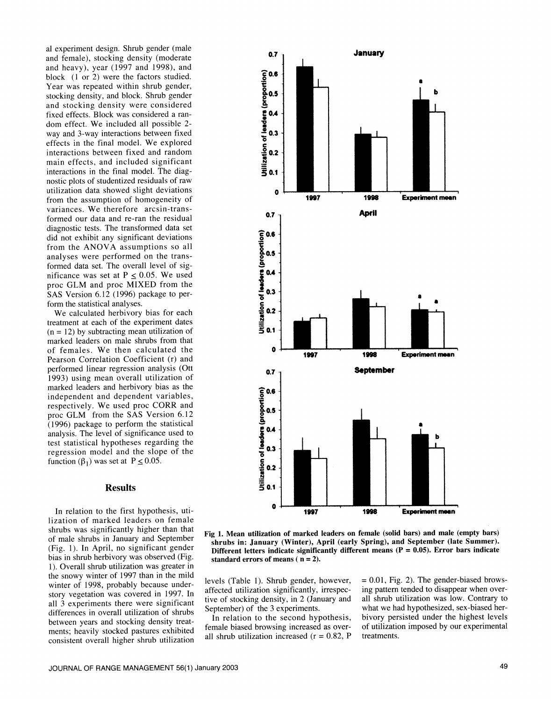al experiment design. Shrub gender (male and female), stocking density (moderate and heavy), year (1997 and 1998), and block (1 or 2) were the factors studied. Year was repeated within shrub gender, stocking density, and block. Shrub gender and stocking density were considered fixed effects. Block was considered a ran dom effect. We included all possible 2 way and 3-way interactions between fixed effects in the final model. We explored interactions between fixed and random main effects, and included significant interactions in the final model. The diagnostic plots of studentized residuals of raw utilization data showed slight deviations from the assumption of homogeneity of variances. We therefore aresin-transformed our data and re-ran the residual diagnostic tests. The transformed data set did not exhibit any significant deviations from the ANOVA assumptions so all analyses were performed on the transformed data set. The overall level of significance was set at  $P \le 0.05$ . We used proc GLM and proc MIXED from the SAS Version 6.12 (1996) package to perform the statistical analyses.

We calculated herbivory bias for each treatment at each of the experiment dates  $(n = 12)$  by subtracting mean utilization of marked leaders on male shrubs from that of females. We then calculated the Pearson Correlation Coefficient (r) and performed linear regression analysis (Ott 1993) using mean overall utilization of marked leaders and herbivory bias as the independent and dependent variables, respectively. We used proc CORR and proc GLM from the SAS Version 6.12 (1996) package to perform the statistical analysis. The level of significance used to test statistical hypotheses regarding the regression model and the slope of the function ( $\beta_1$ ) was set at P  $\leq$  0.05.

## Results

In relation to the first hypothesis, utilization of marked leaders on female shrubs was significantly higher than that of male shrubs in January and September (Fig. 1). In April, no significant gender bias in shrub herbivory was observed (Fig. 1). Overall shrub utilization was greater in the snowy winter of 1997 than in the mild winter of 1998, probably because understory vegetation was covered in 1997. In all 3 experiments there were significant differences in overall utilization of shrubs between years and stocking density treatments; heavily stocked pastures exhibited consistent overall higher shrub utilization





levels (Table 1). Shrub gender, however, affected utilization significantly, irrespective of stocking density, in 2 (January and September) of the 3 experiments.

In relation to the second hypothesis, female biased browsing increased as over all shrub utilization increased ( $r = 0.82$ , P  $= 0.01$ , Fig. 2). The gender-biased browsing pattern tended to disappear when over all shrub utilization was low. Contrary to what we had hypothesized, sex-biased herbivory persisted under the highest levels of utilization imposed by our experimental treatments.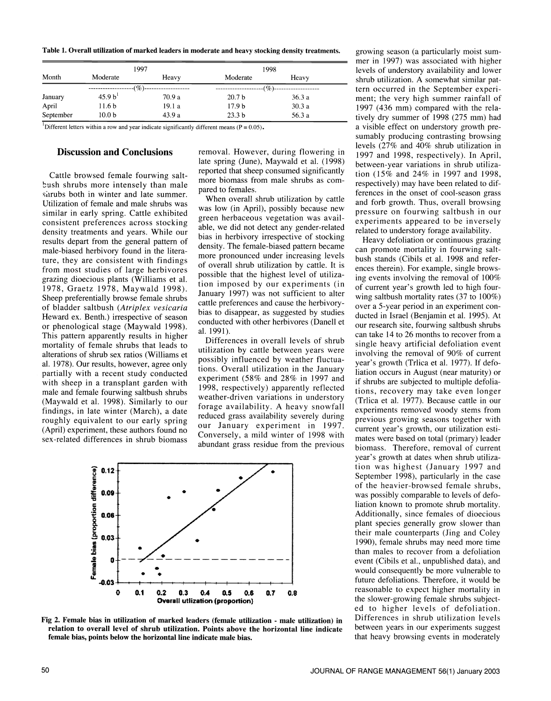Table 1. Overall utilization of marked leaders in moderate and heavy stocking density treatments.

| Month     | 1997                |        | 1998              |        |
|-----------|---------------------|--------|-------------------|--------|
|           | Moderate            | Heavy  | Moderate          | Heavy  |
|           | $-(\%)$ --          |        | ---(%)---         |        |
| January   | 45.9 b <sup>1</sup> | 70.9 a | 20.7 <sub>b</sub> | 36.3a  |
| April     | 11.6 <sub>b</sub>   | 19.1 a | 17.9 <sub>b</sub> | 30.3a  |
| September | 10.0 <sub>b</sub>   | 43.9a  | 23.3 <sub>b</sub> | 56.3 a |

<sup>1</sup>Different letters within a row and year indicate significantly different means ( $P = 0.05$ ).

## Discussion and Conclusions

Cattle browsed female fourwing saltbush shrubs more intensely than male<br>pared to females. shrubs both in winter and late summer. Utilization of female and male shrubs was similar in early spring. Cattle exhibited consistent preferences across stocking density treatments and years. While our results depart from the general pattern of the density. The female-biased pattern became male-biased herbivory found in the literature, they are consistent with findings from most studies of large herbivores grazing dioecious plants (Williams et al. 1978, Graetz 1978, Maywald 1998). Sheep preferentially browse female shrubs of bladder saltbush (Atriplex vesicaria<br>Heward ex. Benth.) irrespective of season or phenological stage (Maywald 1998). This pattern apparently results in higher mortality of female shrubs that leads to alterations of shrub sex ratios (Williams et a!.1978). Our results, however, agree only partially with a recent study conducted with sheep in a transplant garden with male and female fourwing saltbush shrubs (Maywald et al. 1998). Similarly to our findings, in late winter (March), a date roughly equivalent to our early spring (April) experiment, these authors found no sex-related differences in shrub biomass

removal. However, during flowering in late spring (June), Maywald et al. (1998) reported that sheep consumed significantly more biomass from male shrubs as com-<br>pared to females.<br>When overall shrub utilization by cattle

was low (in April), possibly because new green herbaceous vegetation was available, we did not detect any gender-related bias in herbivory irrespective of stocking<br>Heavy defoliation or continuous grazing more pronounced under increasing levels bush stands (Cibils et al. 1998 and referof overall shrub utilization by cattle. It is possible that the highest level of utilization imposed by our experiments (in January 1997) was not sufficient to alter cattle preferences and cause the herbivorybias to disappear, as suggested by studies conducted with other herbivores (Danell et our research site, fourwing saltbush shrubs al. 1991).

Differences in overall levels of shrub utilization by cattle between years were possibly influenced by weather fluctuations. Overall utilization in the January experiment (58% and 28% in 1997 and 1998, respectively) apparently reflected weather-driven variations in understory forage availability. A heavy snowfall reduced grass availability severely during our January experiment in 1997. Conversely, a mild winter of 1998 with abundant grass residue from the previous



Fig 2. Female bias in utilization of marked leaders (female utilization - male utilization) in relation to overall level of shrub utilization. Points above the horizontal line indicate female bias, points below the horizontal line indicate male bias.

growing season (a particularly moist sum mer in 1997) was associated with higher levels of understory availability and lower shrub utilization. A somewhat similar pattern occurred in the September experiment; the very high summer rainfall of 1997 (436 mm) compared with the relatively dry summer of 1998 (275 mm) had a visible effect on understory growth presumably producing contrasting browsing levels (27% and 40% shrub utilization in 1997 and 1998, respectively). In April, between-year variations in shrub utilization (15% and 24% in 1997 and 1998, respectively) may have been related to differences in the onset of cool-season grass and forb growth. Thus, overall browsing pressure on fourwing saltbush in our experiments appeared to be inversely related to understory forage availability.

can promote mortality in fourwing saltences therein). For example, single browsing events involving the removal of 100% of current year's growth led to high fourwing saltbush mortality rates (37 to 100%) over a 5-year period in an experiment con ducted in Israel (Benjamin et al. 1995). At can take 14 to 26 months to recover from a single heavy artificial defoliation event involving the removal of 90% of current year's growth (Trlica et al. 1977). If defoliation occurs in August (near maturity) or if shrubs are subjected to multiple defoliations, recovery may take even longer (Trlica et al. 1977). Because cattle in our experiments removed woody stems from previous growing seasons together with current year's growth, our utilization estimates were based on total (primary) leader biomass. Therefore, removal of current year's growth at dates when shrub utilization was highest (January 1997 and September 1998), particularly in the case of the heavier-browsed female shrubs, was possibly comparable to levels of defoliation known to promote shrub mortality. Additionally, since females of dioecious plant species generally grow slower than their male counterparts (Ding and Coley 1990), female shrubs may need more time than males to recover from a defoliation event (Cibils et al., unpublished data), and would consequently be more vulnerable to future defoliations. Therefore, it would be reasonable to expect higher mortality in the slower-growing female shrubs subjected to higher levels of defoliation. Differences in shrub utilization levels between years in our experiments suggest that heavy browsing events in moderately